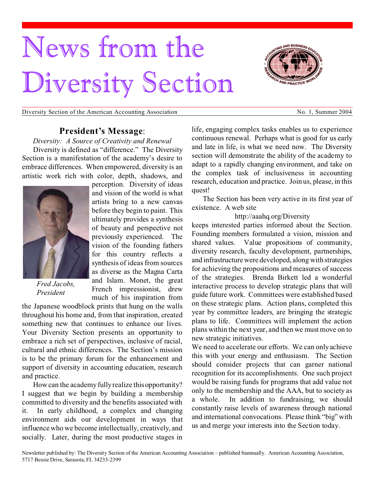# News from the Diversity Section





# **President's Message**:

*Diversity: A Source of Creativity and Renewal* Diversity is defined as "difference." The Diversity Section is a manifestation of the academy's desire to embrace differences. When empowered, diversity is an artistic work rich with color, depth, shadows, and



*Fred Jacobs, President*

perception. Diversity of ideas and vision of the world is what artists bring to a new canvas before they begin to paint. This ultimately provides a synthesis of beauty and perspective not previously experienced. The vision of the founding fathers for this country reflects a synthesis of ideas from sources as diverse as the Magna Carta and Islam. Monet, the great French impressionist, drew much of his inspiration from

the Japanese woodblock prints that hung on the walls throughout his home and, from that inspiration, created something new that continues to enhance our lives. Your Diversity Section presents an opportunity to embrace a rich set of perspectives, inclusive of racial, cultural and ethnic differences. The Section's mission is to be the primary forum for the enhancement and support of diversity in accounting education, research and practice.

How can the academy fully realize this opportunity? I suggest that we begin by building a membership committed to diversity and the benefits associated with it. In early childhood, a complex and changing environment aids our development in ways that influence who we become intellectually, creatively, and socially. Later, during the most productive stages in

life, engaging complex tasks enables us to experience continuous renewal. Perhaps what is good for us early and late in life, is what we need now. The Diversity section will demonstrate the ability of the academy to adapt to a rapidly changing environment, and take on the complex task of inclusiveness in accounting research, education and practice. Join us, please, in this quest!

The Section has been very active in its first year of existence. A web site

http://aaahq.org/Diversity

keeps interested parties informed about the Section. Founding members formulated a vision, mission and shared values. Value propositions of community, diversity research, faculty development, partnerships, and infrastructure were developed, along with strategies for achieving the propositions and measures of success of the strategies. Brenda Birkett led a wonderful interactive process to develop strategic plans that will guide future work. Committees were established based on these strategic plans. Action plans, completed this year by committee leaders, are bringing the strategic plans to life. Committees will implement the action plans within the next year, and then we must move on to new strategic initiatives.

We need to accelerate our efforts. We can only achieve this with your energy and enthusiasm. The Section should consider projects that can garner national recognition for its accomplishments. One such project would be raising funds for programs that add value not only to the membership and the AAA, but to society as a whole. In addition to fundraising, we should constantly raise levels of awareness through national and international convocations. Please think "big" with us and merge your interests into the Section today.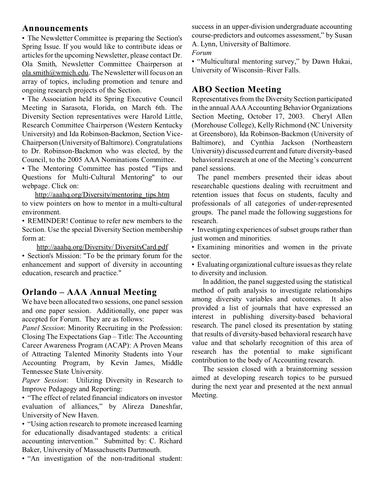# **Announcements**

• The Newsletter Committee is preparing the Section's Spring Issue. If you would like to contribute ideas or articles for the upcoming Newsletter, please contact Dr. Ola Smith, Newsletter Committee Chairperson at ola.smith@wmich.edu. The Newsletter will focus on an array of topics, including promotion and tenure and ongoing research projects of the Section.

• The Association held its Spring Executive Council Meeting in Sarasota, Florida, on March 6th. The Diversity Section representatives were Harold Little, Research Committee Chairperson (Western Kentucky University) and Ida Robinson-Backmon, Section Vice-Chairperson (University of Baltimore). Congratulations to Dr. Robinson-Backmon who was elected, by the Council, to the 2005 AAA Nominations Committee.

• The Mentoring Committee has posted "Tips and Questions for Multi-Cultural Mentoring" to our webpage. Click on:

http://aaahq.org/Diversity/mentoring\_tips.htm to view pointers on how to mentor in a multi-cultural environment.

• REMINDER! Continue to refer new members to the Section. Use the special Diversity Section membership form at:

http://aaahq.org/Diversity/ DiversityCard.pdf

• Section's Mission: "To be the primary forum for the enhancement and support of diversity in accounting education, research and practice."

# **Orlando – AAA Annual Meeting**

We have been allocated two sessions, one panel session and one paper session. Additionally, one paper was accepted for Forum. They are as follows:

*Panel Session*: Minority Recruiting in the Profession: Closing The Expectations Gap – Title: The Accounting Career Awareness Program (ACAP): A Proven Means of Attracting Talented Minority Students into Your Accounting Program, by Kevin James, Middle Tennessee State University.

*Paper Session*: Utilizing Diversity in Research to Improve Pedagogy and Reporting:

• "The effect of related financial indicators on investor evaluation of alliances," by Alireza Daneshfar, University of New Haven.

• "Using action research to promote increased learning for educationally disadvantaged students: a critical accounting intervention." Submitted by: C. Richard Baker, University of Massachusetts Dartmouth.

• "An investigation of the non-traditional student:

success in an upper-division undergraduate accounting course-predictors and outcomes assessment," by Susan A. Lynn, University of Baltimore. *Forum*

• "Multicultural mentoring survey," by Dawn Hukai, University of Wisconsin–River Falls.

# **ABO Section Meeting**

Representatives from the Diversity Section participated in the annual AAA Accounting Behavior Organizations Section Meeting, October 17, 2003. Cheryl Allen (Morehouse College), Kelly Richmond (NC University at Greensboro), Ida Robinson-Backmon (University of Baltimore), and Cynthia Jackson (Northeastern University) discussed current and future diversity-based behavioral research at one of the Meeting's concurrent panel sessions.

The panel members presented their ideas about researchable questions dealing with recruitment and retention issues that focus on students, faculty and professionals of all categories of under-represented groups. The panel made the following suggestions for research.

• Investigating experiences of subset groups rather than just women and minorities.

• Examining minorities and women in the private sector.

• Evaluating organizational culture issues as they relate to diversity and inclusion.

In addition, the panel suggested using the statistical method of path analysis to investigate relationships among diversity variables and outcomes. It also provided a list of journals that have expressed an interest in publishing diversity-based behavioral research. The panel closed its presentation by stating that results of diversity-based behavioral research have value and that scholarly recognition of this area of research has the potential to make significant contribution to the body of Accounting research.

The session closed with a brainstorming session aimed at developing research topics to be pursued during the next year and presented at the next annual Meeting.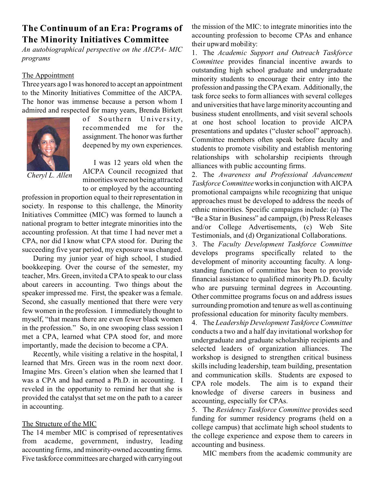# **The Continuum of an Era: Programs of The Minority Initiatives Committee**

*An autobiographical perspective on the AICPA- MIC programs*

# The Appointment

Three years ago I was honored to accept an appointment to the Minority Initiatives Committee of the AICPA. The honor was immense because a person whom I admired and respected for many years, Brenda Birkett



of Southern University, recommended me for the assignment. The honor was further deepened by my own experiences.

*Cheryl L. Allen*

I was 12 years old when the AICPA Council recognized that minorities were not being attracted to or employed by the accounting

profession in proportion equal to their representation in society. In response to this challenge, the Minority Initiatives Committee (MIC) was formed to launch a national program to better integrate minorities into the accounting profession. At that time I had never met a CPA, nor did I know what CPA stood for. During the succeeding five year period, my exposure was changed.

During my junior year of high school, I studied bookkeeping. Over the course of the semester, my teacher, Mrs. Green, invited a CPA to speak to our class about careers in accounting. Two things about the speaker impressed me. First, the speaker was a female. Second, she casually mentioned that there were very few women in the profession. I immediately thought to myself, "that means there are even fewer black women in the profession." So, in one swooping class session I met a CPA, learned what CPA stood for, and more importantly, made the decision to become a CPA.

Recently, while visiting a relative in the hospital, I learned that Mrs. Green was in the room next door. Imagine Mrs. Green's elation when she learned that I was a CPA and had earned a Ph.D. in accounting. I reveled in the opportunity to remind her that she is provided the catalyst that set me on the path to a career in accounting.

## The Structure of the MIC

The 14 member MIC is comprised of representatives from academe, government, industry, leading accounting firms, and minority-owned accounting firms. Five taskforce committees are charged with carrying out the mission of the MIC: to integrate minorities into the accounting profession to become CPAs and enhance their upward mobility:

1. The *Academic Support and Outreach Taskforce Committee* provides financial incentive awards to outstanding high school graduate and undergraduate minority students to encourage their entry into the profession and passing the CPA exam. Additionally, the task force seeks to form alliances with several colleges and universities that have large minority accounting and business student enrollments, and visit several schools at one host school location to provide AICPA presentations and updates ("cluster school" approach). Committee members often speak before faculty and students to promote visibility and establish mentoring relationships with scholarship recipients through alliances with public accounting firms.

2. The *Awareness and Professional Advancement Taskforce Committee* works in conjunction with AICPA promotional campaigns while recognizing that unique approaches must be developed to address the needs of ethnic minorities. Specific campaigns include: (a) The "Be a Star in Business" ad campaign, (b) Press Releases and/or College Advertisements, (c) Web Site Testimonials, and (d) Organizational Collaborations.

3. The *Faculty Development Taskforce Committee* develops programs specifically related to the development of minority accounting faculty. A longstanding function of committee has been to provide financial assistance to qualified minority Ph.D. faculty who are pursuing terminal degrees in Accounting. Other committee programs focus on and address issues surrounding promotion and tenure as well as continuing professional education for minority faculty members.

4. The *Leadership Development Taskforce Committee* conducts a two and a half day invitational workshop for undergraduate and graduate scholarship recipients and selected leaders of organization alliances. The workshop is designed to strengthen critical business skills including leadership, team building, presentation and communication skills. Students are exposed to CPA role models. The aim is to expand their knowledge of diverse careers in business and accounting, especially for CPAs.

5. The *Residency Taskforce Committee* provides seed funding for summer residency programs (held on a college campus) that acclimate high school students to the college experience and expose them to careers in accounting and business.

MIC members from the academic community are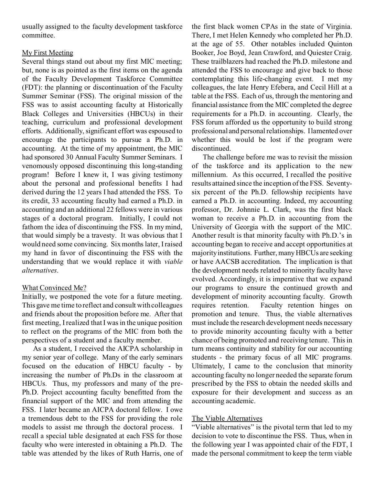usually assigned to the faculty development taskforce committee.

## My First Meeting

Several things stand out about my first MIC meeting; but, none is as pointed as the first items on the agenda of the Faculty Development Taskforce Committee (FDT): the planning or discontinuation of the Faculty Summer Seminar (FSS). The original mission of the FSS was to assist accounting faculty at Historically Black Colleges and Universities (HBCUs) in their teaching, curriculum and professional development efforts. Additionally, significant effort was espoused to encourage the participants to pursue a Ph.D. in accounting. At the time of my appointment, the MIC had sponsored 30 Annual Faculty Summer Seminars. I venomously opposed discontinuing this long-standing program! Before I knew it, I was giving testimony about the personal and professional benefits I had derived during the 12 years I had attended the FSS. To its credit, 33 accounting faculty had earned a Ph.D. in accounting and an additional 22 fellows were in various stages of a doctoral program. Initially, I could not fathom the idea of discontinuing the FSS. In my mind, that would simply be a travesty. It was obvious that I would need some convincing. Six months later, I raised my hand in favor of discontinuing the FSS with the understanding that we would replace it with *viable alternatives*.

## What Convinced Me?

Initially, we postponed the vote for a future meeting. This gave me time to reflect and consult with colleagues and friends about the proposition before me. After that first meeting, I realized that I was in the unique position to reflect on the programs of the MIC from both the perspectives of a student and a faculty member.

As a student, I received the AICPA scholarship in my senior year of college. Many of the early seminars focused on the education of HBCU faculty - by increasing the number of Ph.Ds in the classroom at HBCUs. Thus, my professors and many of the pre-Ph.D. Project accounting faculty benefitted from the financial support of the MIC and from attending the FSS. I later became an AICPA doctoral fellow. I owe a tremendous debt to the FSS for providing the role models to assist me through the doctoral process. I recall a special table designated at each FSS for those faculty who were interested in obtaining a Ph.D. The table was attended by the likes of Ruth Harris, one of the first black women CPAs in the state of Virginia. There, I met Helen Kennedy who completed her Ph.D. at the age of 55. Other notables included Quinton Booker, Joe Boyd, Jean Crawford, and Quiester Craig. These trailblazers had reached the Ph.D. milestone and attended the FSS to encourage and give back to those contemplating this life-changing event. I met my colleagues, the late Henry Efebera, and Cecil Hill at a table at the FSS. Each of us, through the mentoring and financial assistance from the MIC completed the degree requirements for a Ph.D. in accounting. Clearly, the FSS forum afforded us the opportunity to build strong professional and personal relationships. I lamented over whether this would be lost if the program were discontinued.

The challenge before me was to revisit the mission of the taskforce and its application to the new millennium. As this occurred, I recalled the positive results attained since the inception of the FSS. Seventysix percent of the Ph.D. fellowship recipients have earned a Ph.D. in accounting. Indeed, my accounting professor, Dr. Johnnie L. Clark, was the first black woman to receive a Ph.D. in accounting from the University of Georgia with the support of the MIC. Another result is that minority faculty with Ph.D.'s in accounting began to receive and accept opportunities at majority institutions. Further, many HBCUs are seeking or have AACSB accreditation. The implication is that the development needs related to minority faculty have evolved. Accordingly, it is imperative that we expand our programs to ensure the continued growth and development of minority accounting faculty. Growth requires retention. Faculty retention hinges on promotion and tenure. Thus, the viable alternatives must include the research development needs necessary to provide minority accounting faculty with a better chance of being promoted and receiving tenure. This in turn means continuity and stability for our accounting students - the primary focus of all MIC programs. Ultimately, I came to the conclusion that minority accounting faculty no longer needed the separate forum prescribed by the FSS to obtain the needed skills and exposure for their development and success as an accounting academic.

## The Viable Alternatives

"Viable alternatives" is the pivotal term that led to my decision to vote to discontinue the FSS. Thus, when in the following year I was appointed chair of the FDT, I made the personal commitment to keep the term viable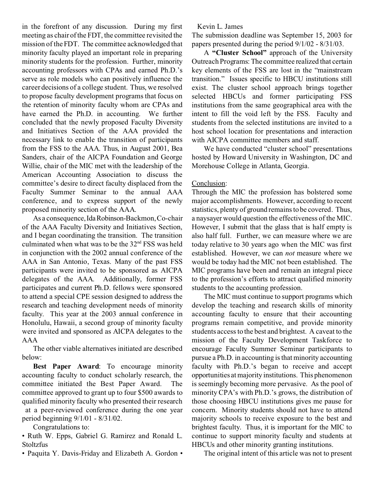in the forefront of any discussion. During my first meeting as chair of the FDT, the committee revisited the mission of the FDT. The committee acknowledged that minority faculty played an important role in preparing minority students for the profession. Further, minority accounting professors with CPAs and earned Ph.D.'s serve as role models who can positively influence the career decisions of a college student. Thus, we resolved to propose faculty development programs that focus on the retention of minority faculty whom are CPAs and have earned the Ph.D. in accounting. We further concluded that the newly proposed Faculty Diversity and Initiatives Section of the AAA provided the necessary link to enable the transition of participants from the FSS to the AAA. Thus, in August 2001, Bea Sanders, chair of the AICPA Foundation and George Willie, chair of the MIC met with the leadership of the American Accounting Association to discuss the committee's desire to direct faculty displaced from the Faculty Summer Seminar to the annual AAA conference, and to express support of the newly proposed minority section of the AAA.

As a consequence, Ida Robinson-Backmon, Co-chair of the AAA Faculty Diversity and Initiatives Section, and I began coordinating the transition. The transition culminated when what was to be the  $32<sup>nd</sup> FSS$  was held in conjunction with the 2002 annual conference of the AAA in San Antonio, Texas. Many of the past FSS participants were invited to be sponsored as AICPA delegates of the AAA. Additionally, former FSS participates and current Ph.D. fellows were sponsored to attend a special CPE session designed to address the research and teaching development needs of minority faculty. This year at the 2003 annual conference in Honolulu, Hawaii, a second group of minority faculty were invited and sponsored as AICPA delegates to the AAA

The other viable alternatives initiated are described below:

**Best Paper Award**: To encourage minority accounting faculty to conduct scholarly research, the committee initiated the Best Paper Award. The committee approved to grant up to four \$500 awards to qualified minority faculty who presented their research at a peer-reviewed conference during the one year period beginning 9/1/01 - 8/31/02.

Congratulations to:

• Ruth W. Epps, Gabriel G. Ramirez and Ronald L. **Stoltzfus** 

• Paquita Y. Davis-Friday and Elizabeth A. Gordon •

Kevin L. James

The submission deadline was September 15, 2003 for papers presented during the period 9/1/02 - 8/31/03.

A **"Cluster School"** approach of the University Outreach Programs: The committee realized that certain key elements of the FSS are lost in the "mainstream transition." Issues specific to HBCU institutions still exist. The cluster school approach brings together selected HBCUs and former participating FSS institutions from the same geographical area with the intent to fill the void left by the FSS. Faculty and students from the selected institutions are invited to a host school location for presentations and interaction with AICPA committee members and staff.

We have conducted "cluster school" presentations hosted by Howard University in Washington, DC and Morehouse College in Atlanta, Georgia.

# Conclusion:

Through the MIC the profession has bolstered some major accomplishments. However, according to recent statistics, plenty of ground remains to be covered. Thus, a naysayer would question the effectiveness of the MIC. However, I submit that the glass that is half empty is also half full. Further, we can measure where we are today relative to 30 years ago when the MIC was first established. However, we can *not* measure where we would be today had the MIC not been established. The MIC programs have been and remain an integral piece to the profession's efforts to attract qualified minority students to the accounting profession.

The MIC must continue to support programs which develop the teaching and research skills of minority accounting faculty to ensure that their accounting programs remain competitive, and provide minority students access to the best and brightest. A caveat to the mission of the Faculty Development Taskforce to encourage Faculty Summer Seminar participants to pursue a Ph.D. in accounting is that minority accounting faculty with Ph.D.'s began to receive and accept opportunities at majority institutions. This phenomenon is seemingly becoming more pervasive. As the pool of minority CPA's with Ph.D.'s grows, the distribution of those choosing HBCU institutions gives me pause for concern. Minority students should not have to attend majority schools to receive exposure to the best and brightest faculty. Thus, it is important for the MIC to continue to support minority faculty and students at HBCUs and other minority granting institutions.

The original intent of this article was not to present